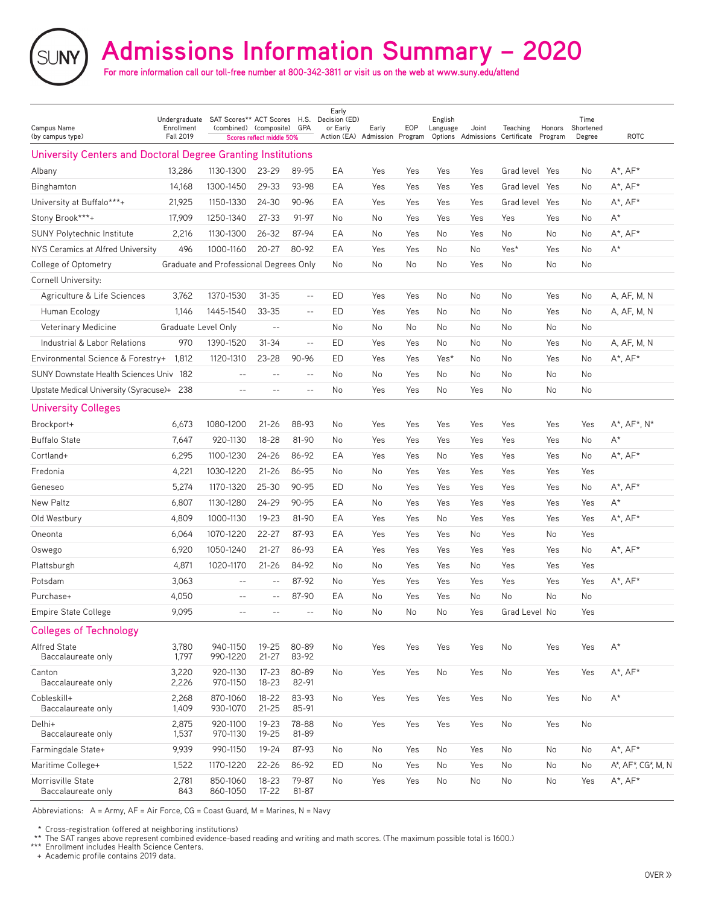# **Admissions Information Summary – 2020**

**For more information call our toll-free number at 800-342-3811 or visit us on the web at www.suny.edu/attend**

| Campus Name<br>(by campus type)                              | Undergraduate<br>Enrollment<br><b>Fall 2019</b> | SAT Scores** ACT Scores H.S. Decision (ED)<br>(combined) (composite) GPA | Scores reflect middle 50% |                   | Early<br>or Early<br>Action (EA) Admission Program | Early     | EOP           | English<br>Language | Joint | <b>Teaching</b><br>Options Admissions Certificate Program | Honors | Time<br>Shortened<br>Degree | <b>ROTC</b>            |
|--------------------------------------------------------------|-------------------------------------------------|--------------------------------------------------------------------------|---------------------------|-------------------|----------------------------------------------------|-----------|---------------|---------------------|-------|-----------------------------------------------------------|--------|-----------------------------|------------------------|
| University Centers and Doctoral Degree Granting Institutions |                                                 |                                                                          |                           |                   |                                                    |           |               |                     |       |                                                           |        |                             |                        |
| Albany                                                       | 13,286                                          | 1130-1300                                                                | 23-29                     | 89-95             | ΕA                                                 | Yes       | Yes           | Yes                 | Yes   | Grad level Yes                                            |        | No                          | $A^*$ , $AF^*$         |
| Binghamton                                                   | 14,168                                          | 1300-1450                                                                | $29 - 33$                 | 93-98             | EA                                                 | Yes       | Yes           | Yes                 | Yes   | Grad level                                                | Yes    | No                          | $A^*$ , $AF^*$         |
| University at Buffalo***+                                    | 21,925                                          | 1150-1330                                                                | $24 - 30$                 | $90 - 96$         | EA                                                 | Yes       | Yes           | Yes                 | Yes   | Grad level                                                | Yes    | No                          | $A^*$ , $AF^*$         |
| Stony Brook***+                                              | 17,909                                          | 1250-1340                                                                | $27 - 33$                 | 91-97             | No                                                 | No        | Yes           | Yes                 | Yes   | Yes                                                       | Yes    | No                          | $A^*$                  |
| <b>SUNY Polytechnic Institute</b>                            | 2,216                                           | 1130-1300                                                                | $26 - 32$                 | 87-94             | EA                                                 | No        | Yes           | No                  | Yes   | No                                                        | No     | No                          | $A^*$ , $AF^*$         |
| NYS Ceramics at Alfred University                            | 496                                             | 1000-1160                                                                | $20 - 27$                 | 80-92             | EA                                                 | Yes       | Yes           | No                  | No    | Yes*                                                      | Yes    | No                          | $A^*$                  |
| College of Optometry                                         |                                                 | Graduate and Professional Degrees Only                                   |                           |                   | No                                                 | No        | No            | No                  | Yes   | No                                                        | No     | No                          |                        |
| Cornell University:                                          |                                                 |                                                                          |                           |                   |                                                    |           |               |                     |       |                                                           |        |                             |                        |
| Agriculture & Life Sciences                                  | 3,762                                           | 1370-1530                                                                | $31 - 35$                 | $\sim$ $-$        | ED                                                 | Yes       | Yes           | No                  | No    | No                                                        | Yes    | No                          | A, AF, M, N            |
| Human Ecology                                                | 1,146                                           | 1445-1540                                                                | $33 - 35$                 | $- -$             | ED                                                 | Yes       | Yes           | No                  | No    | No                                                        | Yes    | No                          | A, AF, M, N            |
| Veterinary Medicine                                          | Graduate Level Only                             |                                                                          | $\sim$ $-$                |                   | No                                                 | <b>No</b> | No            | No                  | No    | No                                                        | No     | No                          |                        |
| Industrial & Labor Relations                                 | 970                                             | 1390-1520                                                                | $31 - 34$                 | $\overline{a}$    | ED                                                 | Yes       | Yes           | No                  | No    | No                                                        | Yes    | No                          | A, AF, M, N            |
| Environmental Science & Forestry+                            | 1,812                                           | 1120-1310                                                                | 23-28                     | 90-96             | ED                                                 | Yes       | Yes           | Yes*                | No    | No                                                        | Yes    | No                          | $A^*$ , $AF^*$         |
| SUNY Downstate Health Sciences Univ 182                      |                                                 | $\qquad \qquad -$                                                        | $-$                       | $\qquad \qquad -$ | No                                                 | No        | Yes           | No                  | No    | No                                                        | No     | No                          |                        |
| Upstate Medical University (Syracuse)+ 238                   |                                                 | $-$                                                                      | $-$                       | $-$               | No                                                 | Yes       | Yes           | No                  | Yes   | No                                                        | No     | <b>No</b>                   |                        |
| <b>University Colleges</b>                                   |                                                 |                                                                          |                           |                   |                                                    |           |               |                     |       |                                                           |        |                             |                        |
| Brockport+                                                   | 6,673                                           | 1080-1200                                                                | $21 - 26$                 | 88-93             | No                                                 | Yes       | Yes           | Yes                 | Yes   | Yes                                                       | Yes    | Yes                         | $A^*$ , $AF^*$ , $N^*$ |
| <b>Buffalo State</b>                                         | 7,647                                           | 920-1130                                                                 | $18 - 28$                 | 81-90             | No                                                 | Yes       | Yes           | Yes                 | Yes   | Yes                                                       | Yes    | No                          | $A^*$                  |
| Cortland+                                                    | 6,295                                           | 1100-1230                                                                | $24 - 26$                 | 86-92             | EA                                                 | Yes       | Yes           | No                  | Yes   | Yes                                                       | Yes    | No                          | $A^*$ , $AF^*$         |
| Fredonia                                                     | 4,221                                           | 1030-1220                                                                | $21 - 26$                 | 86-95             | No                                                 | <b>No</b> | Yes           | Yes                 | Yes   | Yes                                                       | Yes    | Yes                         |                        |
| Geneseo                                                      | 5,274                                           | 1170-1320                                                                | $25 - 30$                 | 90-95             | ED                                                 | No        | Yes           | Yes                 | Yes   | Yes                                                       | Yes    | No                          | A*, $AF*$              |
| New Paltz                                                    | 6,807                                           | 1130-1280                                                                | 24-29                     | 90-95             | EA                                                 | No        | Yes           | Yes                 | Yes   | Yes                                                       | Yes    | Yes                         | $A^*$                  |
| Old Westbury                                                 | 4,809                                           | 1000-1130                                                                | 19-23                     | 81-90             | EA                                                 | Yes       | Yes           | No                  | Yes   | Yes                                                       | Yes    | Yes                         | $A^*$ , $AF^*$         |
| Oneonta                                                      | 6,064                                           | 1070-1220                                                                | $22 - 27$                 | 87-93             | EA                                                 | Yes       | Yes           | Yes                 | No    | Yes                                                       | No     | Yes                         |                        |
| Oswego                                                       | 6,920                                           | 1050-1240                                                                | $21 - 27$                 | 86-93             | EA                                                 | Yes       | Yes           | Yes                 | Yes   | Yes                                                       | Yes    | No                          | $A^*$ , $AF^*$         |
| Plattsburgh                                                  | 4,871                                           | 1020-1170                                                                | $21 - 26$                 | 84-92             | No                                                 | <b>No</b> | Yes           | Yes                 | No    | Yes                                                       | Yes    | Yes                         |                        |
| Potsdam                                                      | 3,063                                           | $-$                                                                      |                           | 87-92             | No                                                 | Yes       | Yes           | Yes                 | Yes   | Yes                                                       | Yes    | Yes                         | $A^*$ , $AF^*$         |
| Purchase+                                                    | 4,050                                           | $-$                                                                      | $\qquad \qquad -$         | 87-90             | EA                                                 | No        | Yes           | Yes                 | No    | No                                                        | No     | No                          |                        |
| <b>Empire State College</b>                                  | 9,095                                           |                                                                          |                           | $-$               | No                                                 | No        | $\mathsf{No}$ | No                  | Yes   | Grad Level No                                             |        | Yes                         |                        |
| <b>Colleges of Technology</b>                                |                                                 |                                                                          |                           |                   |                                                    |           |               |                     |       |                                                           |        |                             |                        |
| Alfred State<br>Baccalaureate only                           | 3,780<br>1,797                                  | 940-1150<br>990-1220                                                     | $19 - 25$<br>$21 - 27$    | 80-89<br>83-92    | No                                                 | Yes       | Yes           | Yes                 | Yes   | No                                                        | Yes    | Yes                         | $\mathsf{A}^{\star}$   |
| Canton<br>Baccalaureate only                                 | 3,220<br>2,226                                  | 920-1130<br>970-1150                                                     | $17 - 23$<br>$18 - 23$    | 80-89<br>82-91    | No                                                 | Yes       | Yes           | No                  | Yes   | No                                                        | Yes    | Yes                         | $A^*$ , $AF^*$         |
| Cobleskill+<br>Baccalaureate only                            | 2,268<br>1,409                                  | 870-1060<br>930-1070                                                     | $18 - 22$<br>$21 - 25$    | 83-93<br>85-91    | No                                                 | Yes       | Yes           | Yes                 | Yes   | No                                                        | Yes    | No                          | $\mathsf{A}^{\star}$   |
| Delhi+<br>Baccalaureate only                                 | 2,875<br>1,537                                  | 920-1100<br>970-1130                                                     | $19 - 23$<br>$19 - 25$    | 78-88<br>81-89    | No                                                 | Yes       | Yes           | Yes                 | Yes   | No                                                        | Yes    | No                          |                        |
| Farmingdale State+                                           | 9,939                                           | 990-1150                                                                 | 19-24                     | 87-93             | No                                                 | No        | Yes           | No                  | Yes   | No                                                        | No     | No                          | $A^*$ , $AF^*$         |
| Maritime College+                                            | 1,522                                           | 1170-1220                                                                | $22 - 26$                 | 86-92             | ED                                                 | No        | Yes           | No                  | Yes   | No                                                        | No     | No                          | A*, AF*, CG*, M, N     |
| Morrisville State<br>Baccalaureate only                      | 2,781<br>843                                    | 850-1060<br>860-1050                                                     | 18-23<br>17-22            | 79-87<br>81-87    | No                                                 | Yes       | Yes           | No                  | No    | No                                                        | No     | Yes                         | $A^*$ , $AF^*$         |

Abbreviations: A = Army, AF = Air Force, CG = Coast Guard, M = Marines, N = Navy

\* Cross-registration (offered at neighboring institutions)

\*\* The SAT ranges above represent combined evidence-based reading and writing and math scores. (The maximum possible total is 1600.)

\*\*\* Enrollment includes Health Science Centers.

+ Academic profile contains 2019 data.